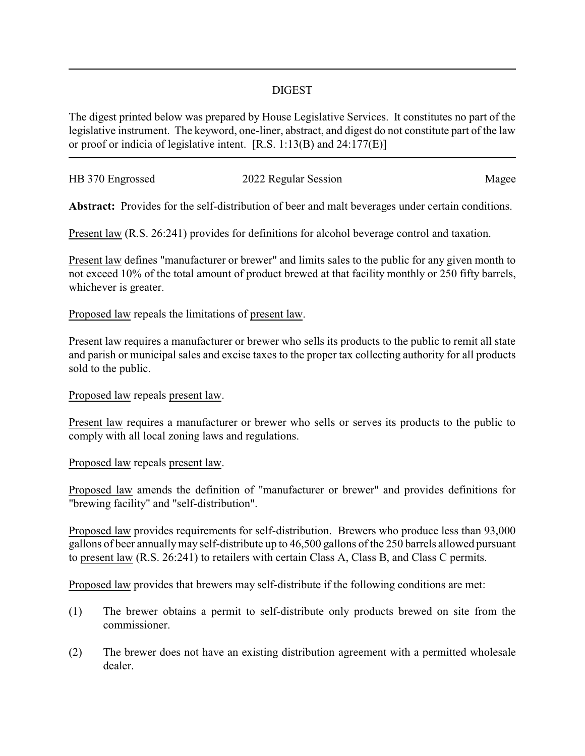## DIGEST

The digest printed below was prepared by House Legislative Services. It constitutes no part of the legislative instrument. The keyword, one-liner, abstract, and digest do not constitute part of the law or proof or indicia of legislative intent. [R.S. 1:13(B) and 24:177(E)]

| HB 370 Engrossed | 2022 Regular Session |       |
|------------------|----------------------|-------|
|                  |                      | Magee |
|                  |                      |       |

**Abstract:** Provides for the self-distribution of beer and malt beverages under certain conditions.

Present law (R.S. 26:241) provides for definitions for alcohol beverage control and taxation.

Present law defines "manufacturer or brewer" and limits sales to the public for any given month to not exceed 10% of the total amount of product brewed at that facility monthly or 250 fifty barrels, whichever is greater.

## Proposed law repeals the limitations of present law.

Present law requires a manufacturer or brewer who sells its products to the public to remit all state and parish or municipal sales and excise taxes to the proper tax collecting authority for all products sold to the public.

Proposed law repeals present law.

Present law requires a manufacturer or brewer who sells or serves its products to the public to comply with all local zoning laws and regulations.

Proposed law repeals present law.

Proposed law amends the definition of "manufacturer or brewer" and provides definitions for "brewing facility" and "self-distribution".

Proposed law provides requirements for self-distribution. Brewers who produce less than 93,000 gallons of beer annuallymay self-distribute up to 46,500 gallons of the 250 barrels allowed pursuant to present law (R.S. 26:241) to retailers with certain Class A, Class B, and Class C permits.

Proposed law provides that brewers may self-distribute if the following conditions are met:

- (1) The brewer obtains a permit to self-distribute only products brewed on site from the commissioner.
- (2) The brewer does not have an existing distribution agreement with a permitted wholesale dealer.